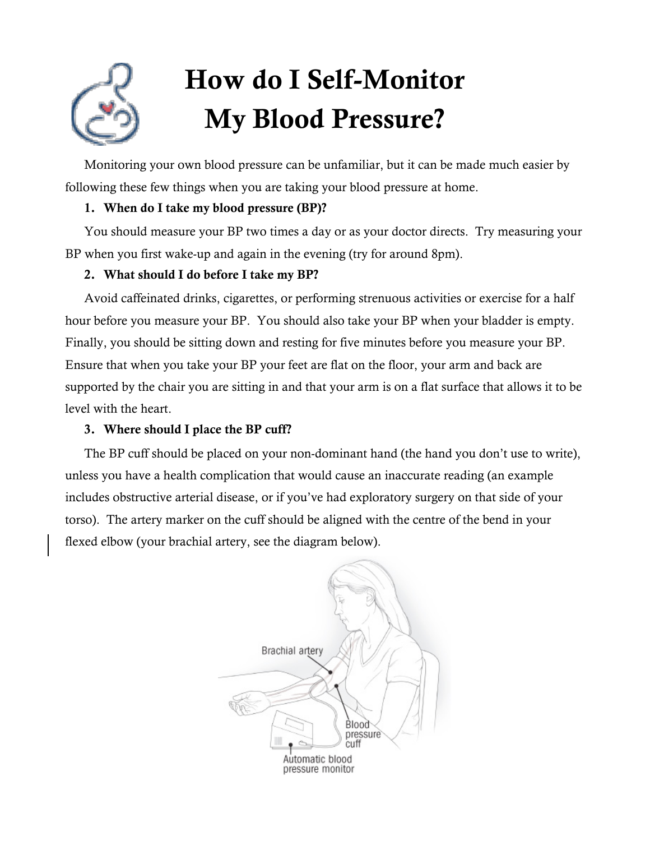# How do I Self-Monitor My Blood Pressure?

Monitoring your own blood pressure can be unfamiliar, but it can be made much easier by following these few things when you are taking your blood pressure at home.

## 1. When do I take my blood pressure (BP)?

You should measure your BP two times a day or as your doctor directs. Try measuring your BP when you first wake-up and again in the evening (try for around 8pm).

## 2. What should I do before I take my BP?

Avoid caffeinated drinks, cigarettes, or performing strenuous activities or exercise for a half hour before you measure your BP. You should also take your BP when your bladder is empty. Finally, you should be sitting down and resting for five minutes before you measure your BP. Ensure that when you take your BP your feet are flat on the floor, your arm and back are supported by the chair you are sitting in and that your arm is on a flat surface that allows it to be level with the heart.

## 3. Where should I place the BP cuff?

The BP cuff should be placed on your non-dominant hand (the hand you don't use to write), unless you have a health complication that would cause an inaccurate reading (an example includes obstructive arterial disease, or if you've had exploratory surgery on that side of your torso). The artery marker on the cuff should be aligned with the centre of the bend in your flexed elbow (your brachial artery, see the diagram below).